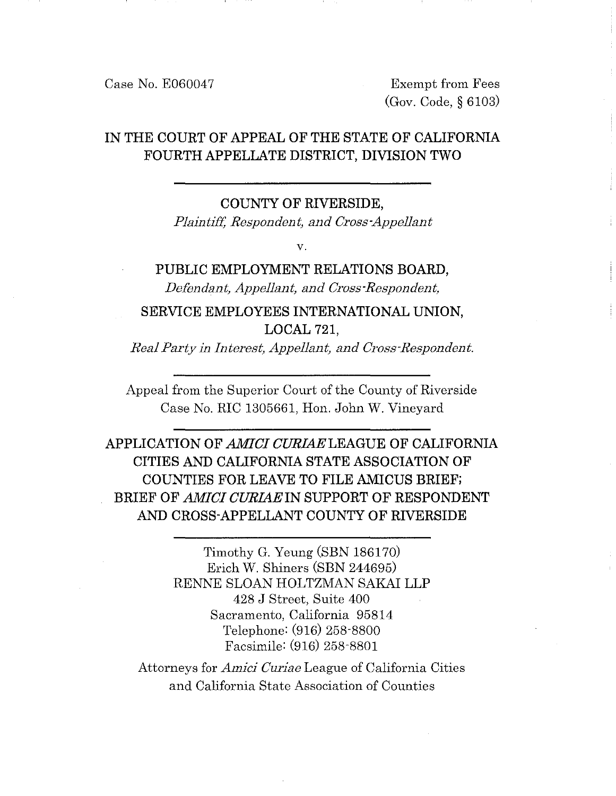Case No. E060047 Exempt from Fees

(Gov. Code, § 6103)

# IN THE COURT OF APPEAL OF THE STATE OF CALIFORNIA FOURTH APPELLATE DISTRICT, DIVISION TWO

#### COUNTY OF RIVERSIDE,

*Plaintiff, Respondent, and Cross-Appellant* 

v.

# PUBLIC EMPLOYMENT RELATIONS BOARD, *Defendant, Appellant, and Cross-Respondent,*

SERVICE EMPLOYEES INTERNATIONAL UNION, LOCAL<sub>721</sub>

*Real Party in Interest, Appellant, and Cross-Respondent.* 

Appeal from the Superior Court of the County of Riverside Case No. RIC 1305661, Hon. John W. Vineyard

APPLICATION OF *AMICI CURIAE* LEAGUE OF CALIFORNIA CITIES AND CALIFORNIA STATE ASSOCIATION OF COUNTIES FOR LEAVE TO FILE AMICUS BRIEF; BRIEF OF *AMICI CURIAE* IN SUPPORT OF RESPONDENT AND CROSS-APPELLANT COUNTY OF RIVERSIDE

> Timothy G. Yeung (SBN 186170) Erich W. Shiners (SBN 244695) RENNE SLOAN HOLTZMAN SAKAI LLP 428 J Street, Suite 400 Sacramento, California 95814 Telephone: (916) 258-8800 Facsimile: (916) 258-8801

Attorneys for *Amici Curiae* League of California Cities and California State Association of Counties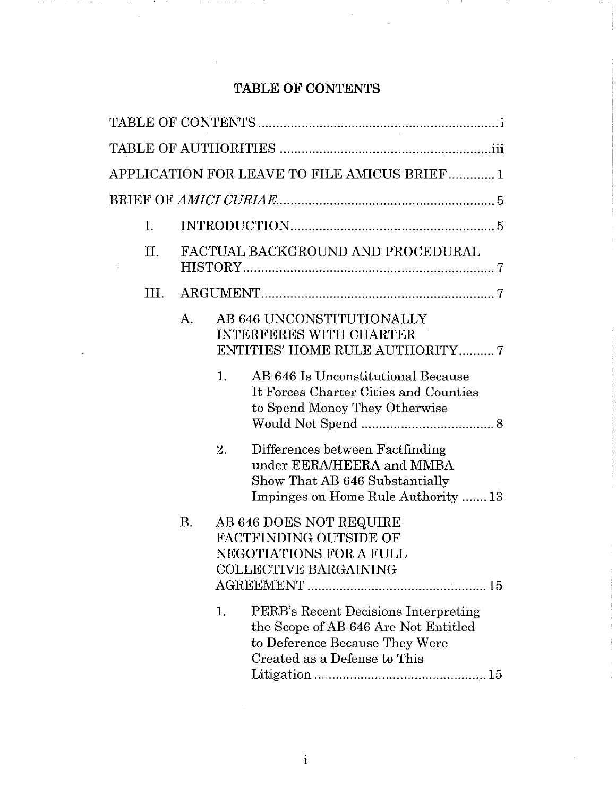# **TABLE OF CONTENTS**

- 11

. . . .

and the company

 $\mathbf{L}$ 

|  |                |            | APPLICATION FOR LEAVE TO FILE AMICUS BRIEF1                                                                                                          |
|--|----------------|------------|------------------------------------------------------------------------------------------------------------------------------------------------------|
|  |                |            |                                                                                                                                                      |
|  | $\mathbf{I}$ . |            |                                                                                                                                                      |
|  | Π.             |            | FACTUAL BACKGROUND AND PROCEDURAL                                                                                                                    |
|  | III.           |            |                                                                                                                                                      |
|  |                | $\bf{A}$ . | AB 646 UNCONSTITUTIONALLY<br><b>INTERFERES WITH CHARTER</b><br><b>ENTITIES' HOME RULE AUTHORITY7</b>                                                 |
|  |                |            | 1.<br>AB 646 Is Unconstitutional Because<br>It Forces Charter Cities and Counties<br>to Spend Money They Otherwise                                   |
|  |                |            | 2.<br>Differences between Factfinding<br>under EERA/HEERA and MMBA<br>Show That AB 646 Substantially<br>Impinges on Home Rule Authority  13          |
|  |                | Β.         | AB 646 DOES NOT REQUIRE<br><b>FACTFINDING OUTSIDE OF</b><br>NEGOTIATIONS FOR A FULL<br><b>COLLECTIVE BARGAINING</b>                                  |
|  |                |            | PERB's Recent Decisions Interpreting<br>1.<br>the Scope of AB 646 Are Not Entitled<br>to Deference Because They Were<br>Created as a Defense to This |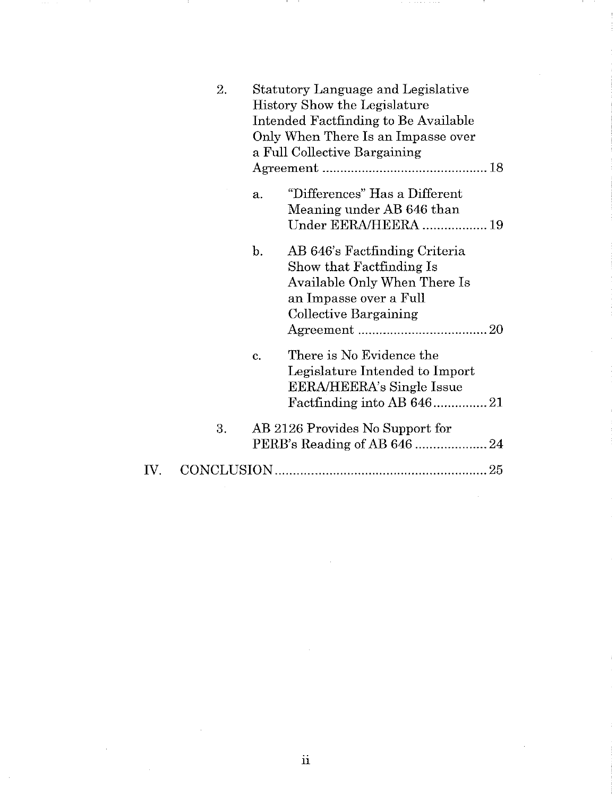|     | 2. |                | Statutory Language and Legislative<br>History Show the Legislature<br>Intended Factfinding to Be Available<br>Only When There Is an Impasse over<br>a Full Collective Bargaining |
|-----|----|----------------|----------------------------------------------------------------------------------------------------------------------------------------------------------------------------------|
|     |    | $\mathbf{a}$ . | "Differences" Has a Different<br>Meaning under AB 646 than<br>Under EERA/HEERA  19                                                                                               |
|     |    | $\mathbf{b}$ . | AB 646's Factfinding Criteria<br>Show that Factfinding Is<br>Available Only When There Is<br>an Impasse over a Full<br>Collective Bargaining                                     |
|     |    | c.             | There is No Evidence the<br>Legislature Intended to Import<br>EERA/HEERA's Single Issue                                                                                          |
|     | 3. |                | AB 2126 Provides No Support for                                                                                                                                                  |
| IV. |    |                |                                                                                                                                                                                  |

- 11

 $\epsilon$  as  $\epsilon$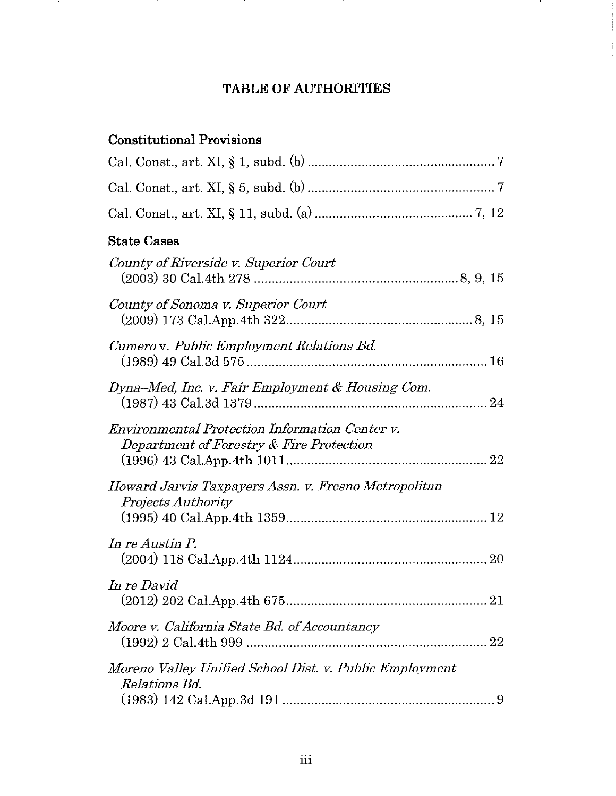# **TABLE OF AUTHORITIES**

# **Constitutional Provisions**

 $\mathbf{r}$ 

and the state

| <b>State Cases</b>                                                                                |
|---------------------------------------------------------------------------------------------------|
| County of Riverside v. Superior Court                                                             |
| County of Sonoma v. Superior Court                                                                |
| Cumero v. Public Employment Relations Bd.                                                         |
| Dyna-Med, Inc. v. Fair Employment & Housing Com.                                                  |
| <b>Environmental Protection Information Center v.</b><br>Department of Forestry & Fire Protection |
| Howard Jarvis Taxpayers Assn. v. Fresno Metropolitan<br><b>Projects Authority</b>                 |
| In re Austin P.                                                                                   |
| In re David<br>21                                                                                 |
| Moore v. California State Bd. of Accountancy                                                      |
| Moreno Valley Unified School Dist. v. Public Employment<br><i>Relations Bd.</i>                   |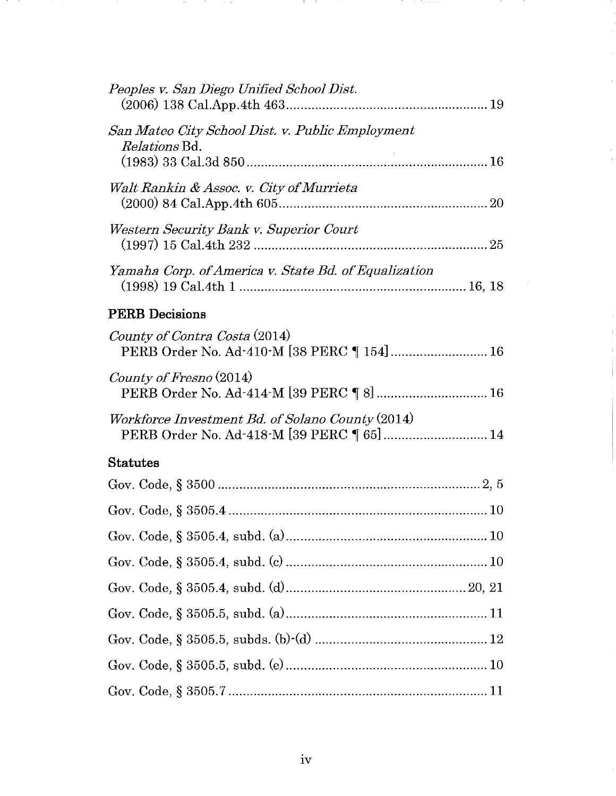| Peoples v. San Diego Unified School Dist.                                                     |
|-----------------------------------------------------------------------------------------------|
| San Mateo City School Dist. v. Public Employment<br><i>Relations</i> Bd.                      |
| Walt Rankin & Assoc. v. City of Murrieta                                                      |
| Western Security Bank v. Superior Court                                                       |
| Yamaha Corp. of America v. State Bd. of Equalization                                          |
| <b>PERB</b> Decisions                                                                         |
| County of Contra Costa (2014)<br>PERB Order No. Ad-410-M [38 PERC 154] 16                     |
| County of Fresno (2014)<br>PERB Order No. Ad-414-M [39 PERC ] 8]  16                          |
| Workforce Investment Bd. of Solano County (2014)<br>PERB Order No. Ad-418-M [39 PERC ] 65] 14 |
| <b>Statutes</b>                                                                               |
|                                                                                               |
|                                                                                               |
|                                                                                               |
|                                                                                               |
|                                                                                               |
|                                                                                               |
|                                                                                               |
|                                                                                               |
|                                                                                               |

19 Million

la propinsi

**Participate** 

iv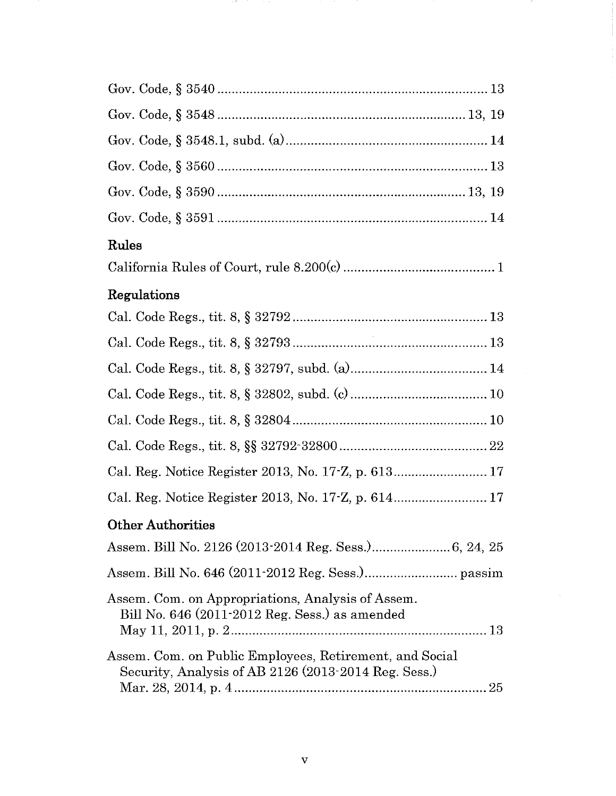| Rules                                                                                                           |
|-----------------------------------------------------------------------------------------------------------------|
|                                                                                                                 |
| Regulations                                                                                                     |
|                                                                                                                 |
|                                                                                                                 |
|                                                                                                                 |
|                                                                                                                 |
|                                                                                                                 |
|                                                                                                                 |
|                                                                                                                 |
| Cal. Reg. Notice Register 2013, No. 17-Z, p. 614 17                                                             |
| <b>Other Authorities</b>                                                                                        |
|                                                                                                                 |
|                                                                                                                 |
| Assem. Com. on Appropriations, Analysis of Assem.<br>Bill No. 646 (2011-2012 Reg. Sess.) as amended             |
| Assem. Com. on Public Employees, Retirement, and Social<br>Security, Analysis of AB 2126 (2013-2014 Reg. Sess.) |

and the company

ł

 $\begin{array}{c} 1 \\ 1 \\ 2 \end{array}$ 

 $\label{eq:2.1} \frac{1}{\sqrt{2}}\int_{\mathbb{R}^3}\frac{1}{\sqrt{2}}\left(\frac{1}{\sqrt{2}}\right)^2\frac{1}{\sqrt{2}}\left(\frac{1}{\sqrt{2}}\right)^2\frac{1}{\sqrt{2}}\left(\frac{1}{\sqrt{2}}\right)^2.$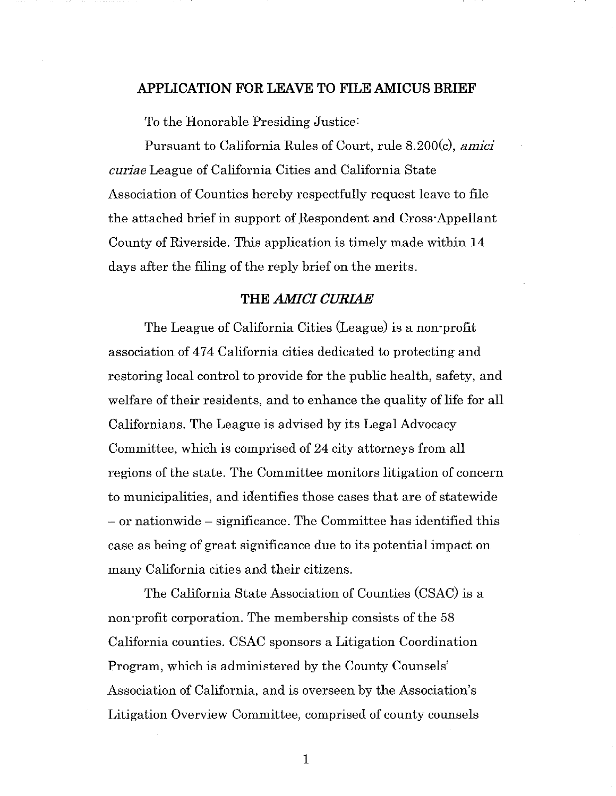#### **APPLICATION FOR LEA VE TO FILE AMICUS BRIEF**

To the Honorable Presiding Justice:

Pursuant to California Rules of Court, rule 8.200(c), *amici curiae* League of California Cities and California State Association of Counties hereby respectfully request leave to file the attached brief in support of Respondent and Cross-Appellant County of Riverside. This application is timely made within **14**  days after the filing of the reply brief on the merits.

#### **THE** *AMICI CURIAE*

The League of California Cities (League) is a non-profit association of 474 California cities dedicated to protecting and restoring local control to provide for the public health, safety, and welfare of their residents, and to enhance the quality of life for all Californians. The League is advised by its Legal Advocacy Committee, which is comprised of 24 city attorneys from all regions of the state. The Committee monitors litigation of concern to municipalities, and identifies those cases that are of statewide - or nationwide - significance. The Committee has identified this case as being of great significance due to its potential impact on many California cities and their citizens.

The California State Association of Counties (CSAC) is a non-profit corporation. The membership consists of the 58 California counties. CSAC sponsors a Litigation Coordination Program, which is administered by the County Counsels' Association of California, and is overseen by the Association's Litigation Overview Committee, comprised of county counsels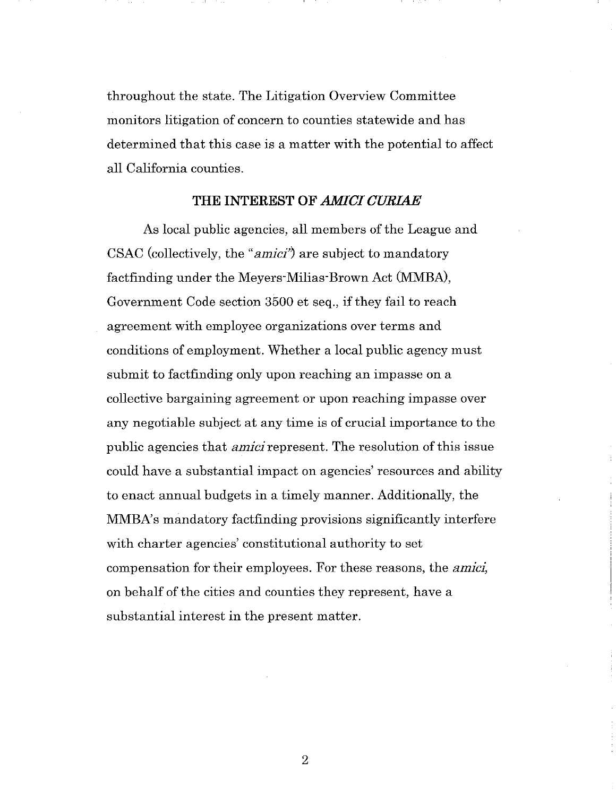throughout the state. The Litigation Overview Committee monitors litigation of concern to counties statewide and has determined that this case is a matter with the potential to affect all California counties.

#### **THE INTEREST OF** *AMICI CURIAE*

As local public agencies, all members of the League and CSAC (collectively, the *"amici')* are subject to mandatory factfinding under the Meyers-Milias-Brown Act (MMBA), Government Code section 3500 et seq., if they fail to reach agreement with employee organizations over terms and conditions of employment. Whether a local public agency must submit to factfinding only upon reaching an impasse on a collective bargaining agreement or upon reaching impasse over any negotiable subject at any time is of crucial importance to the public agencies that *amici* represent. The resolution of this issue could have a substantial impact on agencies' resources and ability to enact annual budgets in a timely manner. Additionally, the MMBA's mandatory factfinding provisions significantly interfere with charter agencies' constitutional authority to set compensation for their employees. For these reasons, the *amici,*  on behalf of the cities and counties they represent, have a substantial interest in the present matter.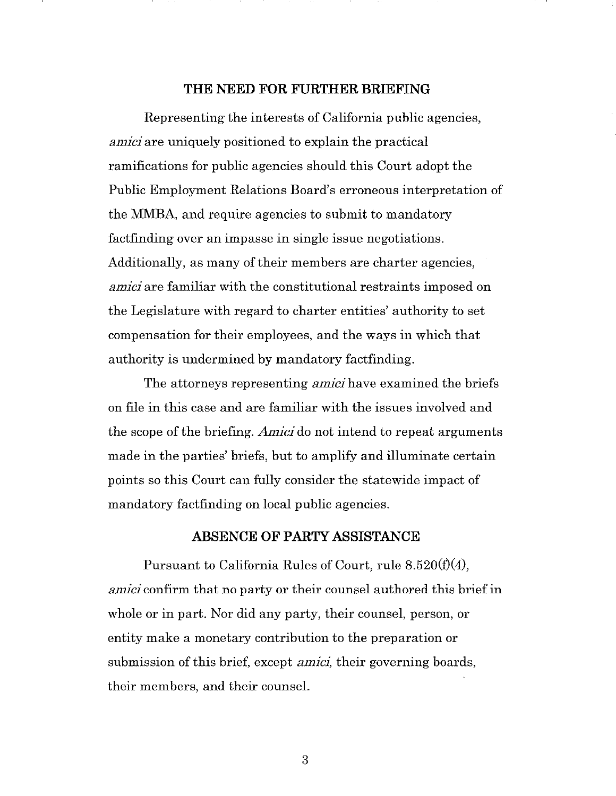#### **THE NEED FOR FURTHER BRIEFING**

Representing the interests of California public agencies, *amici* are uniquely positioned to explain the practical ramifications for public agencies should this Court adopt the Public Employment Relations Board's erroneous interpretation of the MMBA, and require agencies to submit to mandatory factfinding over an impasse in single issue negotiations. Additionally, as many of their members are charter agencies, *amici* are familiar with the constitutional restraints imposed on the Legislature with regard to charter entities' authority to set compensation for their employees, and the ways in which that authority is undermined by mandatory factfinding.

The attorneys representing *amici* have examined the briefs on file in this case and are familiar with the issues involved and the scope of the briefing. *Amici* do not intend to repeat arguments made in the parties' briefs, but to amplify and illuminate certain points so this Court can fully consider the statewide impact of mandatory factfinding on local public agencies.

#### **ABSENCE OF PARTY ASSISTANCE**

Pursuant to California Rules of Court, rule  $8.520(f)(4)$ , *amici* confirm that no party or their counsel authored this brief in whole or in part. Nor did any party, their counsel, person, or entity make a monetary contribution to the preparation or submission of this brief, except *amici,* their governing boards, their members, and their counsel.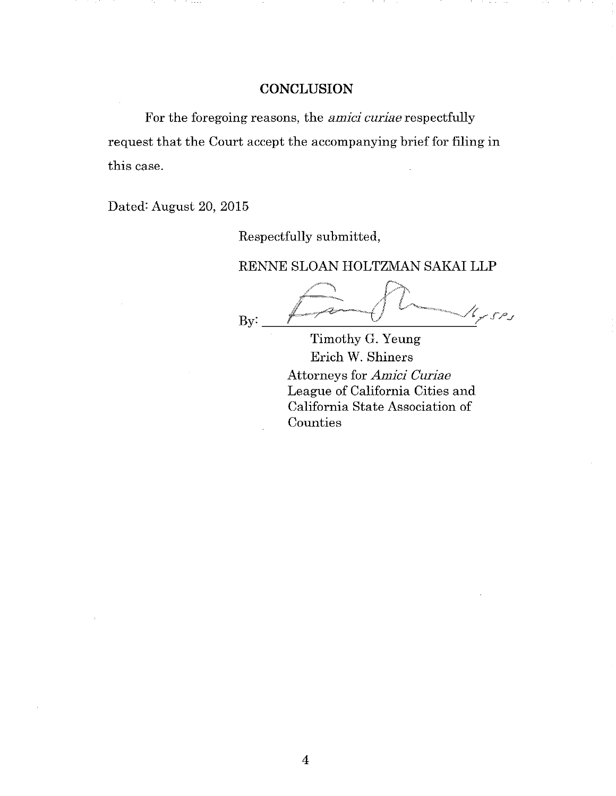## **CONCLUSION**

For the foregoing reasons, the *amici curiae* respectfully request that the Court accept the accompanying brief for filing in this case.

Dated: August 20, 2015

Respectfully submitted,

RENNE SLOAN HOLTZMAN SAKAI LLP

 $4500$ By:

Timothy G. Yeung Erich W. Shiners Attorneys for *Amici Curiae*  League of California Cities and California State Association of Counties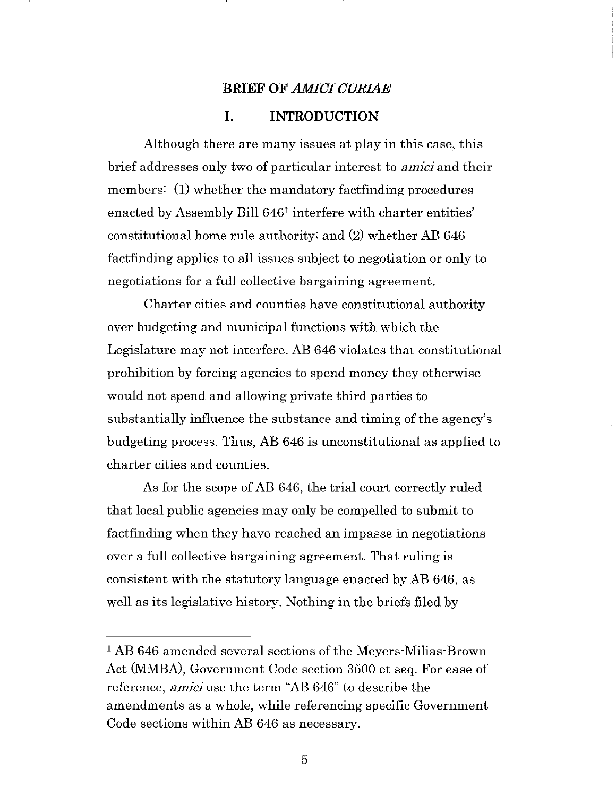# **BRIEF OF** *AMICI CURIAE*  **I. INTRODUCTION**

Although there are many issues at play in this case, this brief addresses only two of particular interest to *amici* and their members: (1) whether the mandatory factfinding procedures enacted by Assembly Bill 6461 interfere with charter entities' constitutional home rule authority; and (2) whether AB 646 factfinding applies to all issues subject to negotiation or only to negotiations for a full collective bargaining agreement.

Charter cities and counties have constitutional authority over budgeting and municipal functions with which the Legislature may not interfere. AB 646 violates that constitutional prohibition by forcing agencies to spend money they otherwise would not spend and allowing private third parties to substantially influence the substance and timing of the agency's budgeting process. Thus, AB 646 is unconstitutional as applied to charter cities and counties.

As for the scope of AB 646, the trial court correctly ruled that local public agencies may only be compelled to submit to factfinding when they have reached an impasse in negotiations over a full collective bargaining agreement. That ruling is consistent with the statutory language enacted by AB 646, as well as its legislative history. Nothing in the briefs filed by

<sup>1</sup> AB 646 amended several sections of the Meyers-Milias-Brown Act (MMBA), Government Code section 3500 et seq. For ease of reference, *amici* use the term "AB 646" to describe the amendments as a whole, while referencing specific Government Code sections within AB 646 as necessary.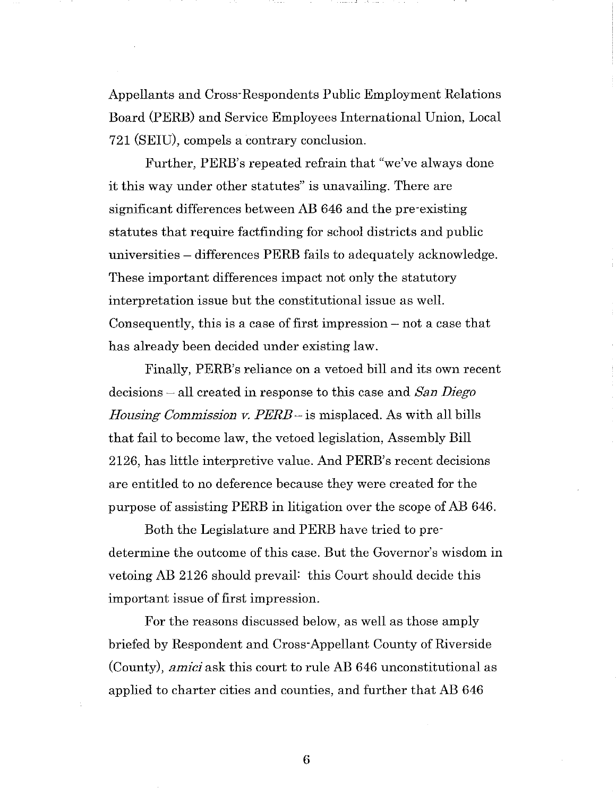Appellants and Cross-Respondents Public Employment Relations Board (PERE) and Service Employees International Union, Local 721 (SEIU), compels a contrary conclusion.

Further, PERB's repeated refrain that "we've always done it this way under other statutes" is unavailing. There are significant differences between AB 646 and the pre-existing statutes that require factfinding for school districts and public universities - differences PERE fails to adequately acknowledge. These important differences impact not only the statutory interpretation issue but the constitutional issue as well. Consequently, this is a case of first impression  $-$  not a case that has already been decided under existing law.

Finally, PERB's reliance on a vetoed bill and its own recent decisions - all created in response to this case and *San Diego Housing Commission v. PERE* - is misplaced. As with all bills that fail to become law, the vetoed legislation, Assembly Bill 2126, has little interpretive value. And PERB's recent decisions are entitled to no deference because they were created for the purpose of assisting PERE in litigation over the scope of AB 646.

Both the Legislature and PERE have tried to predetermine the outcome of this case. But the Governor's wisdom in vetoing AB 2126 should prevail: this Court should decide this important issue of first impression.

For the reasons discussed below, as well as those amply briefed by Respondent and Cross-Appellant County of Riverside (County), *amici* ask this court to rule AB 646 unconstitutional as applied to charter cities and counties, and further that AB 646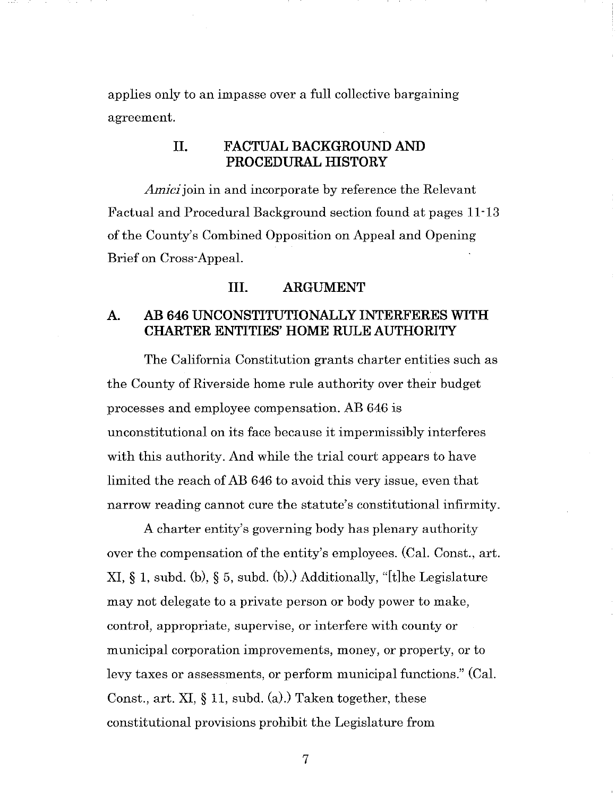applies only to an impasse over a full collective bargaining agreement.

#### **II. FACTUAL BACKGROUND AND PROCEDURAL HISTORY**

*Amici* join in and incorporate by reference the Relevant Factual and Procedural Background section found at pages 11·13 of the County's Combined Opposition on Appeal and Opening Brief on Cross-Appeal.

#### **III. ARGUMENT**

#### **A. AB 646 UNCONSTITUTIONALLY INTERFERES WITH CHARTER ENTITIES' HOME RULE AUTHORITY**

The California Constitution grants charter entities such as the County of Riverside home rule authority over their budget processes and employee compensation. AB 646 is unconstitutional on its face because it impermissibly interferes with this authority. And while the trial court appears to have limited the reach of AB 646 to avoid this very issue, even that narrow reading cannot cure the statute's constitutional infirmity.

A charter entity's governing body has plenary authority over the compensation of the entity's employees. (Cal. Const., art. XI, § 1, subd. (b), § 5, subd. (b).) Additionally, "[t]he Legislature may not delegate to a private person or body power to make, control, appropriate, supervise, or interfere with county or municipal corporation improvements, money, or property, or to levy taxes or assessments, or perform municipal functions." (Cal. Const., art. XI, § 11, subd. (a).) Taken together, these constitutional provisions prohibit the Legislature from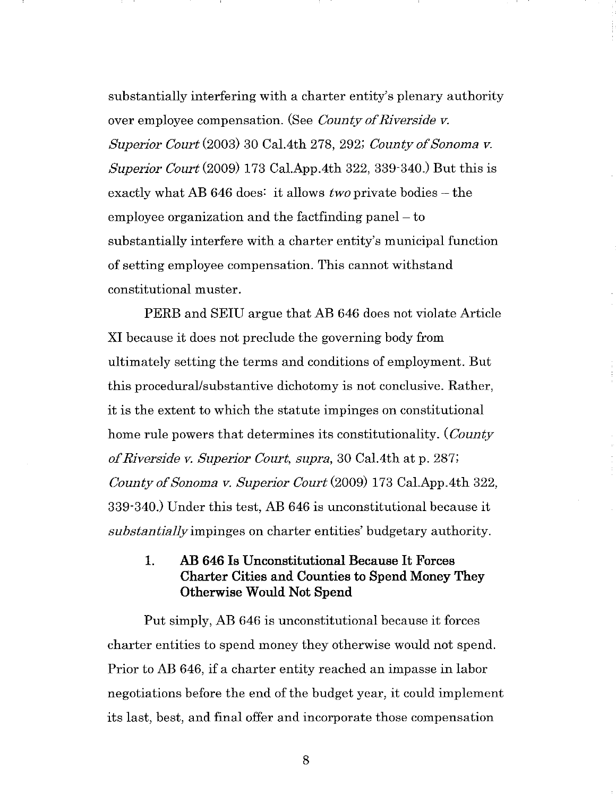substantially interfering with a charter entity's plenary authority over employee compensation. (See *County of Riverside v. Superior Court* (2003) 30 Cal.4th 278, 292; *County of Sonoma v. Superior Court* (2009) 173 Cal.App.4th 322, 339-340.) But this is exactly what AB 646 does: it allows *two* private bodies – the employee organization and the factfinding panel  $-$  to substantially interfere with a charter entity's municipal function of setting employee compensation. This cannot withstand constitutional muster.

PERE and SEID argue that AB 646 does not violate Article XI because it does not preclude the governing body from ultimately setting the terms and conditions of employment. But this procedural/substantive dichotomy is not conclusive. Rather, it is the extent to which the statute impinges on constitutional home rule powers that determines its constitutionality. *(County of Riverside v. Superior Court, supra,* 30 Cal.4th at p. 287; *County of Sonoma v. Superior Court* (2009) 173 Cal.App.4th 322, 339-340.) Under this test, AB 646 is unconstitutional because it *substantially* impinges on charter entities' budgetary authority.

## 1. AB 646 Is Unconstitutional Because It Forces Charter Cities and Counties to Spend Money They Otherwise Would Not Spend

Put simply, AB 646 is unconstitutional because it forces charter entities to spend money they otherwise would not spend. Prior to AB 646, if a charter entity reached an impasse in labor negotiations before the end of the budget year, it could implement its last, best, and final offer and incorporate those compensation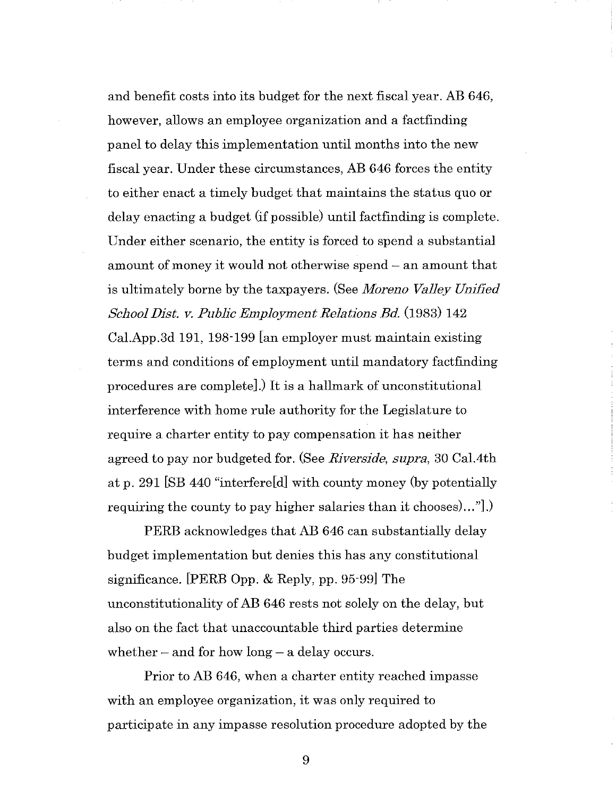and benefit costs into its budget for the next fiscal year. AB 646, however, allows an employee organization and a factfinding panel to delay this implementation until months into the new fiscal year. Under these circumstances, AB 646 forces the entity to either enact a timely budget that maintains the status quo or delay enacting a budget (if possible) until factfinding is complete. Under either scenario, the entity is forced to spend a substantial amount of money it would not otherwise spend – an amount that is ultimately borne by the taxpayers. (See *Moreno Valley Unified School Dist. v. Public Employment Relations Bd.* (1983) 142 Cal.App.3d 191, 198-199 [an employer must maintain existing terms and conditions of employment until mandatory factfinding procedures are complete].) It is a hallmark of unconstitutional interference with home rule authority for the Legislature to require a charter entity to pay compensation it has neither agreed to pay nor budgeted for. (See *Riverside, supra,* 30 Cal.4th at p. 291 [SB 440 "interfere[d] with county money (by potentially requiring the county to pay higher salaries than it chooses) ... "].)

PERE acknowledges that AB 646 can substantially delay budget implementation but denies this has any constitutional significance. [PERE Opp. & Reply, pp. 95-99] The unconstitutionality of AB 646 rests not solely on the delay, but also on the fact that unaccountable third parties determine whether  $-$  and for how long  $-$  a delay occurs.

Prior to AB 646, when a charter entity reached impasse with an employee organization, it was only required to participate in any impasse resolution procedure adopted by the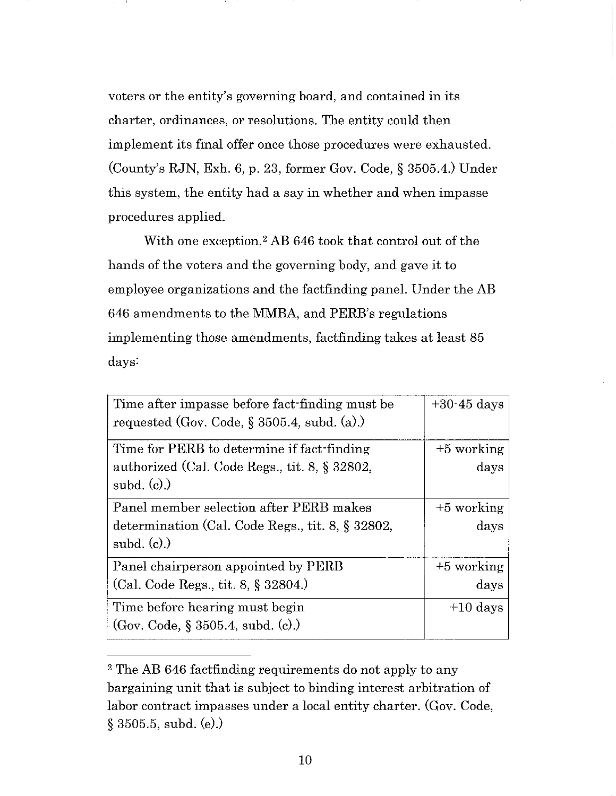voters or the entity's governing board, and contained in its charter, ordinances, or resolutions. The entity could then implement its final offer once those procedures were exhausted. (County's RJN, Exh. 6, p. 23, former Gov. Code, § 3505.4.) Under this system, the entity had a say in whether and when impasse procedures applied.

With one exception,<sup>2</sup> AB 646 took that control out of the hands of the voters and the governing body, and gave it to employee organizations and the factfinding panel. Under the AB 646 amendments to the MMBA, and PERB's regulations implementing those amendments, factfinding takes at least 85 days:

| Time after impasse before fact-finding must be<br>requested (Gov. Code, $\S$ 3505.4, subd. (a).) | $+30.45$ days |
|--------------------------------------------------------------------------------------------------|---------------|
| Time for PERB to determine if fact-finding                                                       | $+5$ working  |
| authorized (Cal. Code Regs., tit. 8, § 32802,                                                    | days          |
| subd. $(c)$ .)                                                                                   |               |
| Panel member selection after PERB makes                                                          | $+5$ working  |
| determination (Cal. Code Regs., tit. 8, § 32802,                                                 | days          |
| subd. $(c)$ .)                                                                                   |               |
| Panel chairperson appointed by PERB                                                              | $+5$ working  |
| (Cal. Code Regs., tit. 8, § 32804.)                                                              | days          |
| Time before hearing must begin                                                                   | $+10$ days    |
| (Gov. Code, § 3505.4, subd. (c).)                                                                |               |

<sup>2</sup> The AB 646 factfinding requirements do not apply to any bargaining unit that is subject to binding interest arbitration of labor contract impasses under a local entity charter. (Gov. Code, § 3505.5, subd. (e).)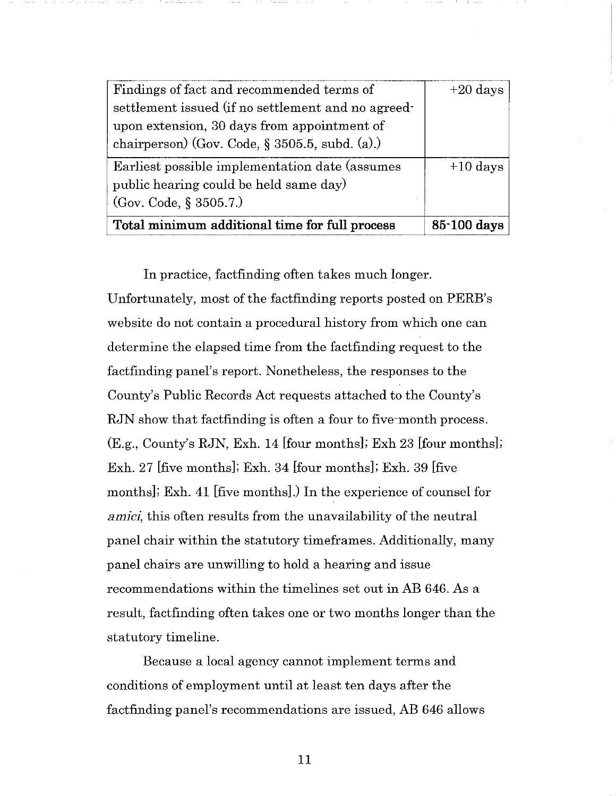| Findings of fact and recommended terms of          | $+20$ days  |
|----------------------------------------------------|-------------|
| settlement issued (if no settlement and no agreed- |             |
| upon extension, 30 days from appointment of        |             |
| chairperson) (Gov. Code, $\S 3505.5$ , subd. (a).) |             |
| Earliest possible implementation date (assumes     | $+10$ days  |
| public hearing could be held same day)             |             |
| (Gov. Code, § 3505.7.)                             |             |
| Total minimum additional time for full process     | 85-100 days |

In practice, factfinding often takes much longer. Unfortunately, most of the factfinding reports posted on PERB's website do not contain a procedural history from which one can determine the elapsed time from the factfinding request to the factfinding panel's report. Nonetheless, the responses to the County's Public Records Act requests attached to the County's RJN show that factfinding is often a four to five-month process. (E.g., County's RJN, Exh. 14 [four months]; Exh 23 [four months]; Exh. 27 [five months]; Exh. 34 [four months]; Exh. 39 [five months]; Exh. 41 [five months].) In the experience of counsel for *amici*, this often results from the unavailability of the neutral panel chair within the statutory timeframes. Additionally, many panel chairs are unwilling to hold a hearing and issue recommendations within the timelines set out in AB 646. As a result, factfinding often takes one or two months longer than the statutory timeline.

Because a local agency cannot implement terms and conditions of employment until at least ten days after the factfinding panel's recommendations are issued, AB 646 allows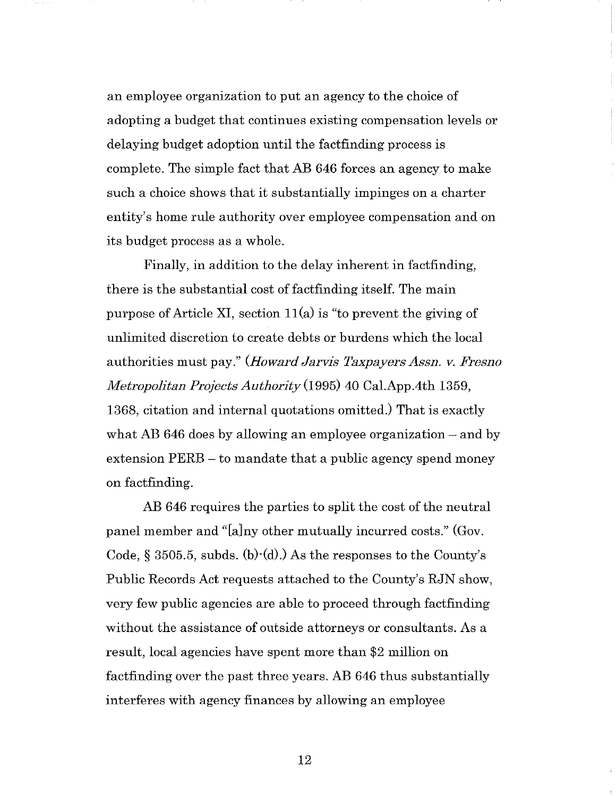an employee organization to put an agency to the choice of adopting a budget that continues existing compensation levels or delaying budget adoption until the factfinding process is complete. The simple fact that AB 646 forces an agency to make such a choice shows that it substantially impinges on a charter entity's home rule authority over employee compensation and on its budget process as a whole.

Finally, in addition to the delay inherent in factfinding, there is the substantial cost of factfinding itself. The main purpose of Article XI, section  $11(a)$  is "to prevent the giving of unlimited discretion to create debts or burdens which the local authorities must pay." *(Howard Jarvis Taxpayers Assn. v. Fresno Metropolitan Projects Authority(l995)* 40 Cal.App.4th 1359, 1368, citation and internal quotations omitted.) That is exactly what AB 646 does by allowing an employee organization  $-$  and by extension PERB – to mandate that a public agency spend money on factfinding.

AB 646 requires the parties to split the cost of the neutral panel member and "[a]ny other mutually incurred costs." (Gov. Code,  $\S$  3505.5, subds. (b) $\cdot$ (d).) As the responses to the County's Public Records Act requests attached to the County's RJN show, very few public agencies are able to proceed through factfinding without the assistance of outside attorneys or consultants. As a result, local agencies have spent more than \$2 million on factfinding over the past three years. AB 646 thus substantially interferes with agency finances by allowing an employee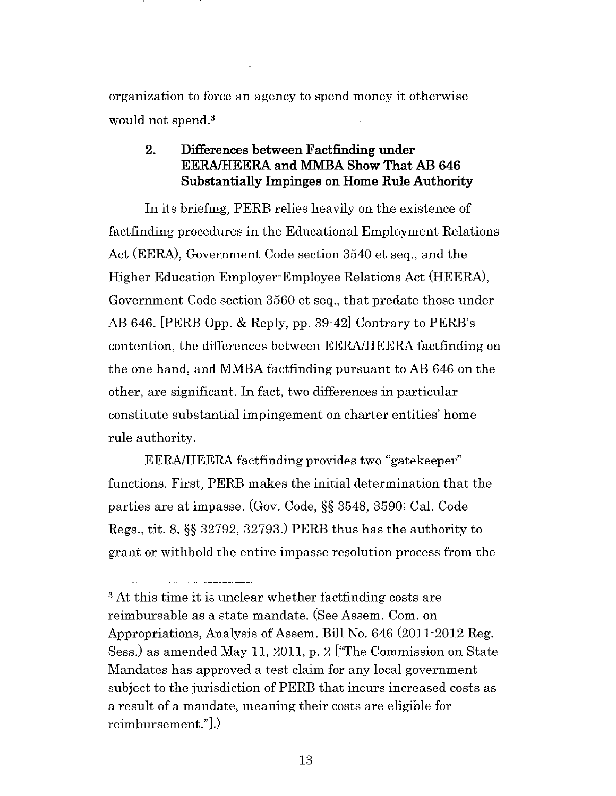organization to force an agency to spend money it otherwise would not spend.3

## 2. Differences between Factfinding under EERA/HEERA and MMBA Show That AB 646 Substantially Impinges on Home Rule Authority

In its briefing, PERB relies heavily on the existence of factfinding procedures in the Educational Employment Relations Act (EERA), Government Code section 3540 et seq., and the Higher Education Employer Employee Relations Act (HEERA), Government Code section 3560 et seq., that predate those under AB 646. [PERB Opp. & Reply, pp. 39-42] Contrary to PERB's contention, the differences between EERA/HEERA factfinding on the one hand, and MMBA factfinding pursuant to AB 646 on the other, are significant. In fact, two differences in particular constitute substantial impingement on charter entities' home rule authority.

EERA/HEERA factfinding provides two "gatekeeper" functions. First, PERE makes the initial determination that the parties are at impasse. (Gov. Code, §§ 3548, 3590; Cal. Code Regs., tit. 8, §§ 32792, 32793.) PERE thus has the authority to grant or withhold the entire impasse resolution process from the

<sup>&</sup>lt;sup>3</sup> At this time it is unclear whether factfinding costs are reimbursable as a state mandate. (See Assem. Com. on Appropriations, Analysis of Assem. Bill No. 646 (2011-2012 Reg. Sess.) as amended May 11, 2011, p. 2 ["The Commission on State Mandates has approved a test claim for any local government subject to the jurisdiction of PERE that incurs increased costs as a result of a mandate, meaning their costs are eligible for reimbursement."].)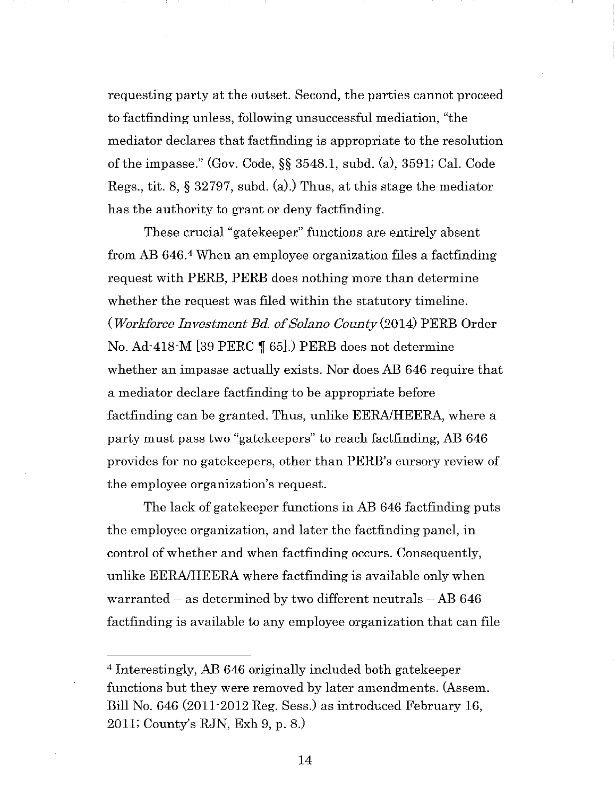requesting party at the outset. Second, the parties cannot proceed to factfinding unless, following unsuccessful mediation, "the mediator declares that factfinding is appropriate to the resolution of the impasse." (Gov. Code,§§ 3548.1, subd. (a), 3591; Cal. Code Regs., tit. 8, § 32797, subd. (a).) Thus, at this stage the mediator has the authority to grant or deny factfinding.

These crucial "gatekeeper" functions are entirely absent from AB 646. 4 When an employee organization files a factfinding request with PERE, PERE does nothing more than determine whether the request was filed within the statutory timeline. *(Workforce Investment Bd. of Solano* County(2014) PERE Order No. Ad-418-M [39 PERC  $\P$  65].) PERB does not determine whether an impasse actually exists. Nor does AB 646 require that a mediator declare factfinding to be appropriate before factfinding can be granted. Thus, unlike EERA/HEERA, where a party must pass two "gatekeepers" to reach factfinding, AB 646 provides for no gatekeepers, other than PERB's cursory review of the employee organization's request.

The lack of gatekeeper functions in AB 646 factfinding puts the employee organization, and later the factfinding panel, in control of whether and when factfinding occurs. Consequently, unlike EERA/HEERA where factfinding is available only when warranted  $-$  as determined by two different neutrals  $-$  AB 646 factfinding is available to any employee organization that can file

<sup>4</sup> Interestingly, AB 646 originally included both gatekeeper functions but they were removed by later amendments. (Assem. Bill No. 646 (2011-2012 Reg. Sess.) as introduced February 16, 2011; County's RJN, Exh 9, p. 8.)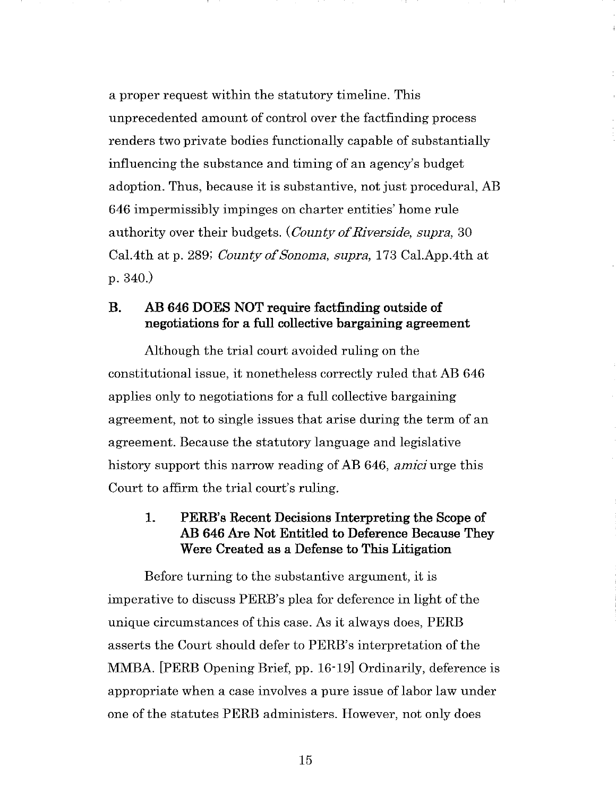a proper request within the statutory timeline. This unprecedented amount of control over the factfinding process renders two private bodies functionally capable of substantially influencing the substance and timing of an agency's budget adoption. Thus, because it is substantive, not just procedural, AB 646 impermissibly impinges on charter entities' home rule authority over their budgets. *(County of Riverside, supra,* 30 Cal.4th at p. 289; *County of Sonoma, supra,* 173 Cal.App.4th at p.340.)

## B. AB 646 DOES NOT require factfinding outside of negotiations for a full collective bargaining agreement

Although the trial court avoided ruling on the constitutional issue, it nonetheless correctly ruled that AB 646 applies only to negotiations for a full collective bargaining agreement, not to single issues that arise during the term of an agreement. Because the statutory language and legislative history support this narrow reading of AB 646, *amici* urge this Court to affirm the trial court's ruling.

## 1. PERB's Recent Decisions Interpreting the Scope of AB 646 Are Not Entitled to Deference Because They Were Created as a Defense to This Litigation

Before turning to the substantive argument, it is imperative to discuss PERB's plea for deference in light of the unique circumstances of this case. As it always does, PERE asserts the Court should defer to PERB's interpretation of the MMBA. [PERE Opening Brief, pp. 16-19] Ordinarily, deference is appropriate when a case involves a pure issue of labor law under one of the statutes PERE administers. However, not only does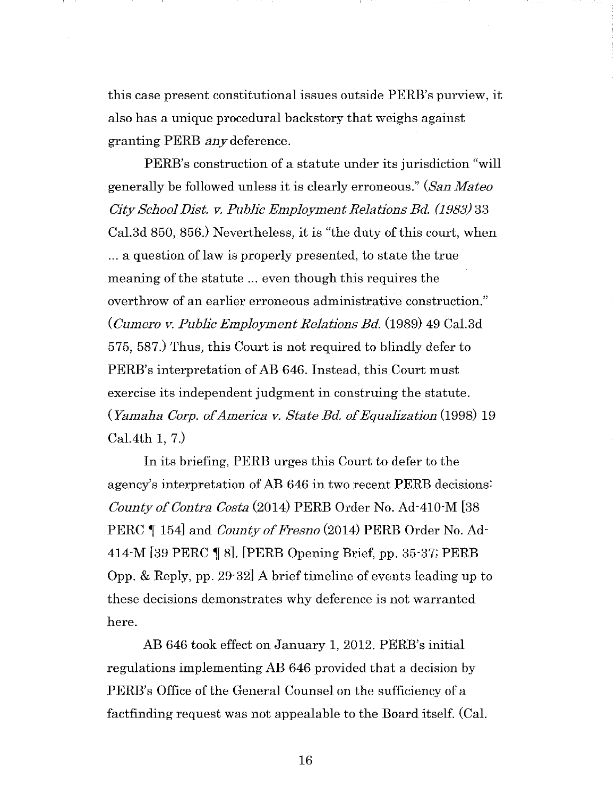this case present constitutional issues outside PERB's purview, it also has a unique procedural backstory that weighs against granting PERE *any* deference.

PERB's construction of a statute under its jurisdiction "will generally be followed unless it is clearly erroneous." *(San Mateo City School Dist. v. Public Employment Relations Bd. (1983)* 33 Cal.3d 850, 856.) Nevertheless, it is "the duty of this court, when ... a question of law is properly presented, to state the true meaning of the statute ... even though this requires the overthrow of an earlier erroneous administrative construction." *(Cumero v. Public Employment Relations Bd.* (1989) 49 Cal.3d 575, 587.) Thus, this Court is not required to blindly defer to PERB's interpretation of AB 646. Instead, this Court must exercise its independent judgment in construing the statute. *(Yamaha Corp. of America v. State Bd. of Equalization* (1998) 19 Cal.4th 1, 7.)

In its briefing, PERE urges this Court to defer to the agency's interpretation of AB 646 in two recent PERE decisions: *County of Contra Costa* (2014) PERE Order No. Ad-410-M [38 PERC 154] and *County of Fresno* (2014) PERB Order No. Ad-414-M  $[39$  PERC  $\P$  8]. [PERB Opening Brief, pp. 35-37; PERB Opp. & Reply, pp. 29-32] A brief timeline of events leading up to these decisions demonstrates why deference is not warranted here.

AB 646 took effect on January 1, 2012. PERB's initial regulations implementing AB 646 provided that a decision by PERB's Office of the General Counsel on the sufficiency of a factfinding request was not appealable to the Board itself. (Cal.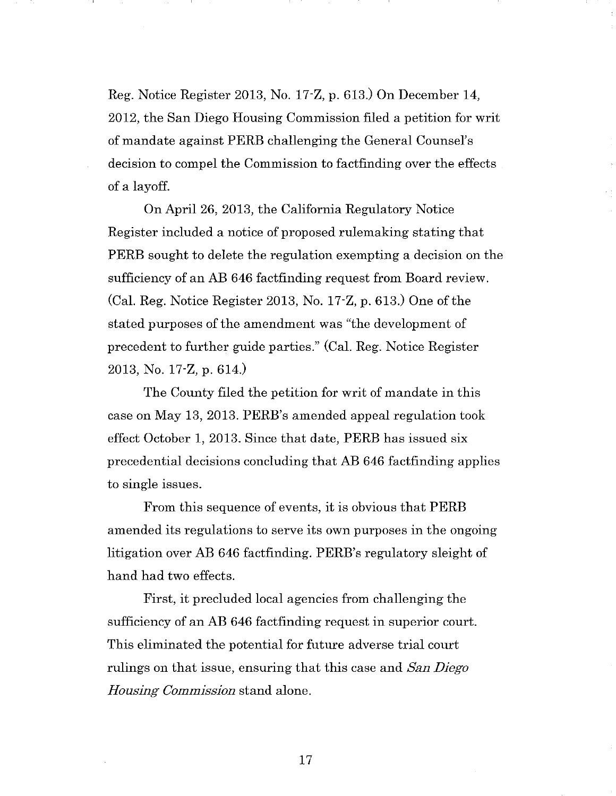Reg. Notice Register 2013, No. 17-Z, p. 613.) On December 14, 2012, the San Diego Housing Commission filed a petition for writ of mandate against PERE challenging the General Counsel's decision to compel the Commission to factfinding over the effects of a layoff.

On April 26, 2013, the California Regulatory Notice Register included a notice of proposed rulemaking stating that PERE sought to delete the regulation exempting a decision on the sufficiency of an AB 646 factfinding request from Board review. (Cal. Reg. Notice Register 2013, No. 17-Z, p. 613.) One of the stated purposes of the amendment was "the development of precedent to further guide parties." (Cal. Reg. Notice Register 2013, No. 17-Z, p. 614.)

The County filed the petition for writ of mandate in this case on May 13, 2013. PERB's amended appeal regulation took effect October 1, 2013. Since that date, PERE has issued six precedential decisions concluding that AB 646 factfinding applies to single issues.

From this sequence of events, it is obvious that PERE amended its regulations to serve its own purposes in the ongoing litigation over AB 646 factfinding. PERB's regulatory sleight of hand had two effects.

First, it precluded local agencies from challenging the sufficiency of an AB 646 factfinding request in superior court. This eliminated the potential for future adverse trial court rulings on that issue, ensuring that this case and *San Diego Housing Commission* stand alone.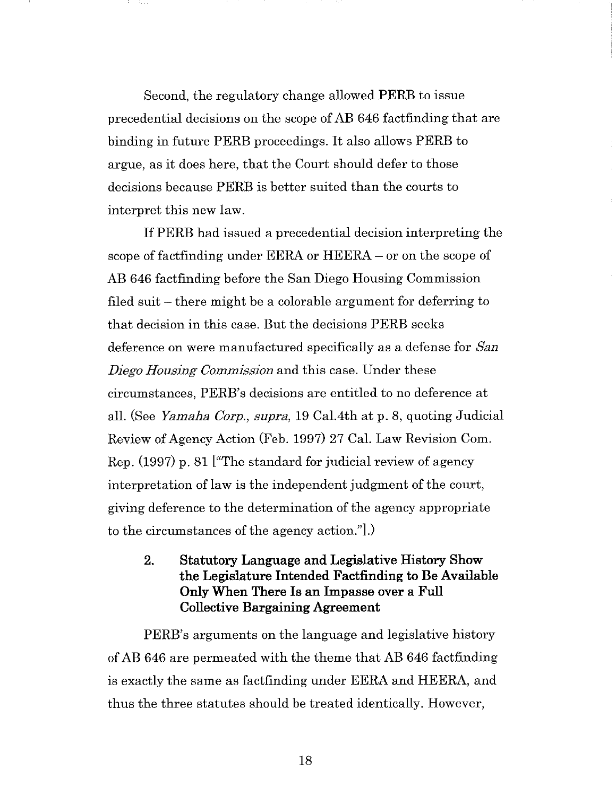Second, the regulatory change allowed PERB to issue precedential decisions on the scope of AB 646 factfinding that are binding in future PERB proceedings. It also allows PERB to argue, as it does here, that the Court should defer to those decisions because PERB is better suited than the courts to interpret this new law.

If PERB had issued a precedential decision interpreting the scope of factfinding under EERA or HEERA – or on the scope of AB 646 factfinding before the San Diego Housing Commission filed suit  $-$  there might be a colorable argument for deferring to that decision in this case. But the decisions PERB seeks deference on were manufactured specifically as a defense for *San Diego Housing Commission* and this case. Under these circumstances, PERB's decisions are entitled to no deference at all. (See *Yamaha Corp., supra,* 19 Cal.4th at p. 8, quoting Judicial Review of Agency Action (Feb. 1997) 27 Cal. Law Revision Com. Rep. (1997) p. 81 ["The standard for judicial review of agency interpretation of law is the independent judgment of the court, giving deference to the determination of the agency appropriate to the circumstances of the agency action."].)

2. Statutory Language and Legislative History Show the Legislature Intended Factfinding to Be Available Only When There Is an Impasse over a Full Collective Bargaining Agreement

PERB's arguments on the language and legislative history of AB 646 are permeated with the theme that AB 646 factfinding is exactly the same as factfinding under EERA and HEERA, and thus the three statutes should be treated identically. However,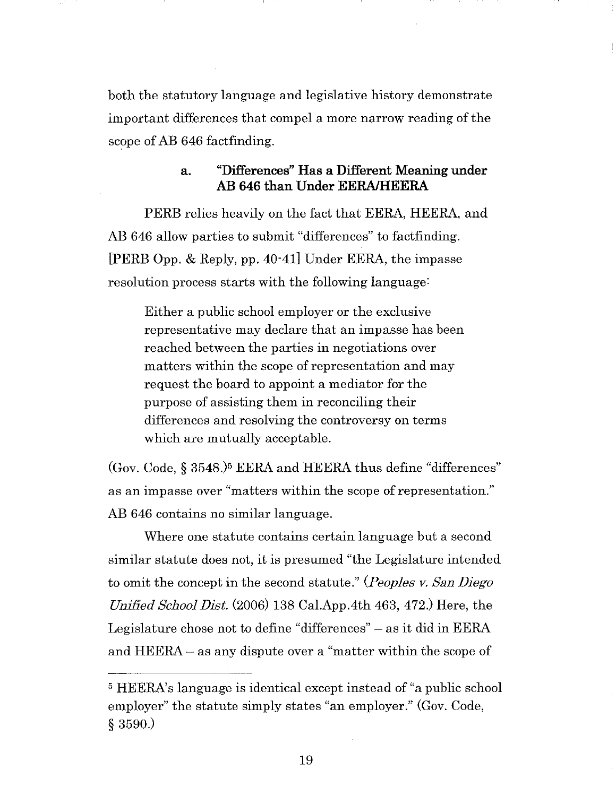both the statutory language and legislative history demonstrate important differences that compel a more narrow reading of the scope of AB 646 factfinding.

#### a. "Differences" Has a Different Meaning under AB 646 than Under EERA/HEERA

PERE relies heavily on the fact that EERA, HEERA, and AB 646 allow parties to submit "differences" to factfinding. [PERE Opp. & Reply, pp. 40-41] Under EERA, the impasse resolution process starts with the following language:

Either a public school employer or the exclusive representative may declare that an impasse has been reached between the parties in negotiations over matters within the scope of representation and may request the board to appoint a mediator for the purpose of assisting them in reconciling their differences and resolving the controversy on terms which are mutually acceptable.

(Gov. Code,§ 3548.)5 EERA and HEERA thus define "differences" as an impasse over "matters within the scope of representation." AB 646 contains no similar language.

Where one statute contains certain language but a second similar statute does not, it is presumed "the Legislature intended to omit the concept in the second statute." *(Peoples v. San Diego Unified School Dist.* (2006) 138 Cal.App.4th 463, 472.) Here, the Legislature chose not to define "differences" - as it did in EERA and HEERA – as any dispute over a "matter within the scope of

<sup>5</sup> HEERA's language is identical except instead of "a public school employer" the statute simply states "an employer." (Gov. Code, § 3590.)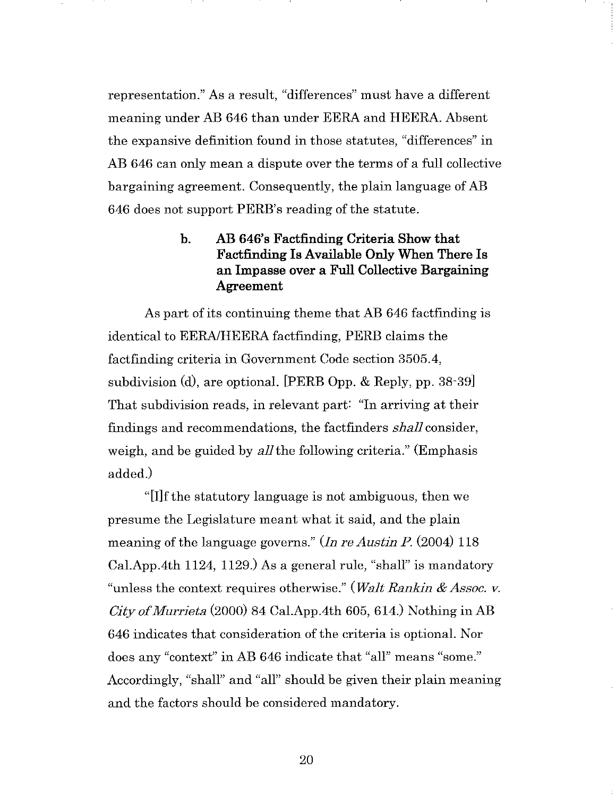representation." As a result, "differences" must have a different meaning under AB 646 than under EERA and HEERA. Absent the expansive definition found in those statutes, "differences" in AB 646 can only mean a dispute over the terms of a full collective bargaining agreement. Consequently, the plain language of AB 646 does not support PERB's reading of the statute.

# b. AB 646's Factfinding Criteria Show that Factfinding Is Available Only When There Is an Impasse over a Full Collective Bargaining Agreement

As part of its continuing theme that AB 646 factfinding is identical to EERA/HEERA factfinding, PERE claims the factfinding criteria in Government Code section 3505.4, subdivision (d), are optional. [PERE Opp. & Reply, pp. 38-39] That subdivision reads, in relevant part: "In arriving at their findings and recommendations, the factfinders *shall* consider, weigh, and be guided by *all* the following criteria." (Emphasis added.)

"[I]f the statutory language is not ambiguous, then we presume the Legislature meant what it said, and the plain meaning of the language governs." *(In re Austin P.* (2004) 118 Cal.App.4th 1124, 1129.) As a general rule, "shall" is mandatory "unless the context requires otherwise." *(Walt Rankin* & *Assoc. v. City of Murrieta* (2000) 84 Cal.App.4th 605, 614.) Nothing in AB 646 indicates that consideration of the criteria is optional. Nor does any "context" in AB 646 indicate that "all" means "some." Accordingly, "shall" and "all" should be given their plain meaning and the factors should be considered mandatory.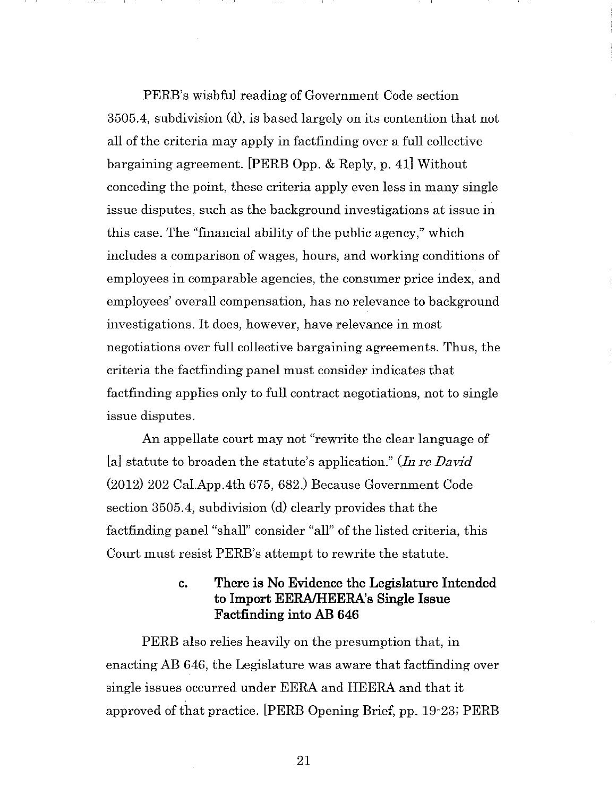PERB's wishful reading of Government Code section 3505.4, subdivision (d), is based largely on its contention that not all of the criteria may apply in factfinding over a full collective bargaining agreement. [PERE Opp. & Reply, p. 41] Without conceding the point, these criteria apply even less in many single issue disputes, such as the background investigations at issue in this case. The "financial ability of the public agency," which includes a comparison of wages, hours, and working conditions of employees in comparable agencies, the consumer price index, and employees' overall compensation, has no relevance to background investigations. It does, however, have relevance in most negotiations over full collective bargaining agreements. Thus, the criteria the factfinding panel must consider indicates that factfinding applies only to full contract negotiations, not to single issue disputes.

An appellate court may not "rewrite the clear language of [a] statute to broaden the statute's application." *(In re David*  (2012) 202 Cal.App.4th 675, 682.) Because Government Code section 3505.4, subdivision (d) clearly provides that the factfinding panel "shall" consider "all" of the listed criteria, this Court must resist PERB's attempt to rewrite the statute.

#### c. There is No Evidence the Legislature Intended to Import EERA/HEERA's Single Issue Factfinding into AB 646

PERE also relies heavily on the presumption that, in enacting AB 646, the Legislature was aware that factfinding over single issues occurred under EERA and HEERA and that it approved of that practice. [PERE Opening Brief, pp. 19-23; PERE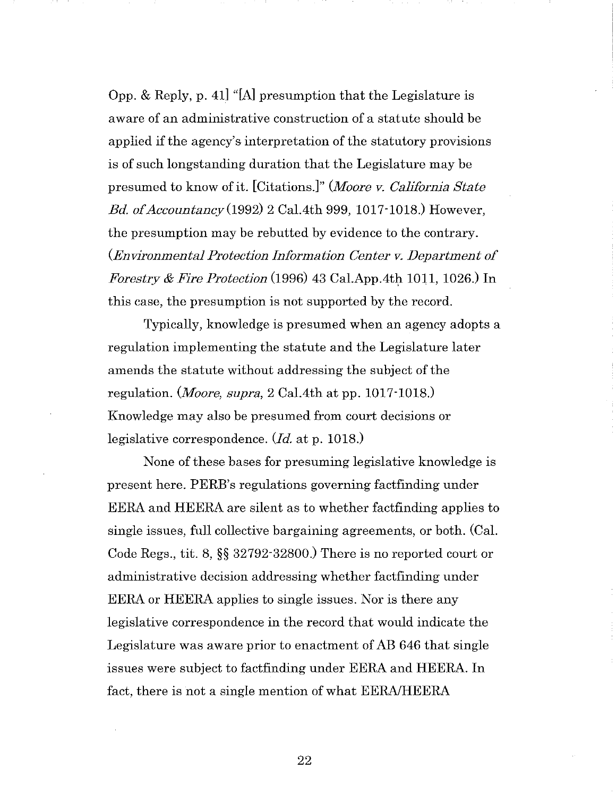Opp. & Reply, p. 41] "[A] presumption that the Legislature is aware of an administrative construction of a statute should be applied if the agency's interpretation of the statutory provisions is of such longstanding duration that the Legislature may be presumed to know of it. [Citations.]" *(Moore v. California State Bd. of Accountancy(1992)* 2 Cal.4th 999, 1017-1018.) However, the presumption may be rebutted by evidence to the contrary. *(Environmental Protection Information Center v. Department of Forestry & Fire Protection* (1996) 43 Cal.App.4th 1011, 1026.) In this case, the presumption is not supported by the record.

Typically, knowledge is presumed when an agency adopts a regulation implementing the statute and the Legislature later amends the statute without addressing the subject of the regulation. *(Moore, supra,* 2 Cal.4th at pp. 1017-1018.) Knowledge may also be presumed from court decisions or legislative correspondence. *(Id.* at p. 1018.)

None of these bases for presuming legislative knowledge is present here. PERB's regulations governing factfinding under EERA and HEERA are silent as to whether factfinding applies to single issues, full collective bargaining agreements, or both. (Cal. Code Regs., tit. 8, §§ 32792-32800.) There is no reported court or administrative decision addressing whether factfinding under EERA or HEERA applies to single issues. Nor is there any legislative correspondence in the record that would indicate the Legislature was aware prior to enactment of AB 646 that single issues were subject to factfinding under EERA and HEERA. In fact, there is not a single mention of what EERA/HEERA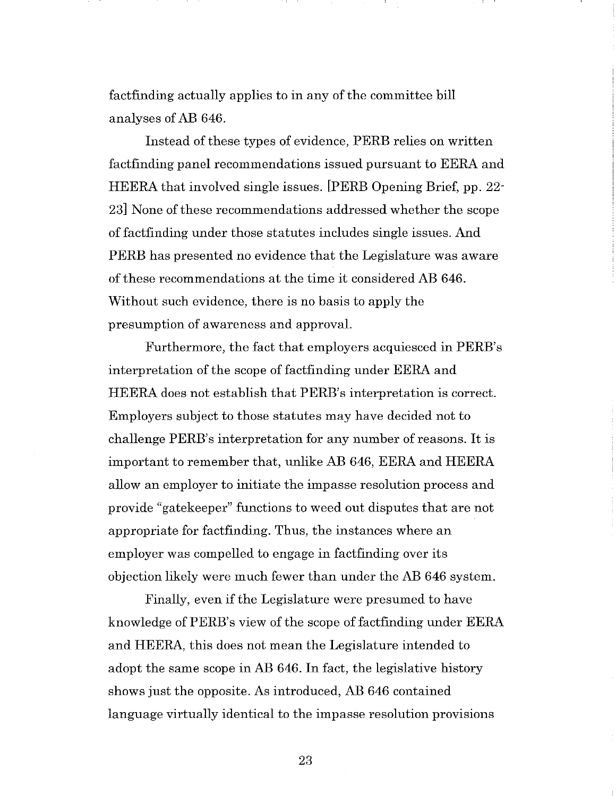factfinding actually applies to in any of the committee bill analyses of AB 646.

Instead of these types of evidence, PERE relies on written factfinding panel recommendations issued pursuant to EERA and HEERA that involved single issues. [PERE Opening Brief, pp. 22- 23] None of these recommendations addressed whether the scope of factfinding under those statutes includes single issues. And PERE has presented no evidence that the Legislature was aware of these recommendations at the time it considered AB 646. Without such evidence, there is no basis to apply the presumption of awareness and approval.

Furthermore, the fact that employers acquiesced in PERB's interpretation of the scope of factfinding under EERA and HEERA does not establish that PERB's interpretation is correct. Employers subject to those statutes may have decided not to challenge PERB's interpretation for any number of reasons. It is important to remember that, unlike AB 646, EERA and HEERA allow an employer to initiate the impasse resolution process and provide "gatekeeper" functions to weed out disputes that are not appropriate for factfinding. Thus, the instances where an employer was compelled to engage in factfinding over its objection likely were much fewer than under the AB 646 system.

Finally, even if the Legislature were presumed to have knowledge of PERB's view of the scope of factfinding under EERA and HEERA, this does not mean the Legislature intended to adopt the same scope in AB 646. In fact, the legislative history shows just the opposite. As introduced, AB 646 contained language virtually identical to the impasse resolution provisions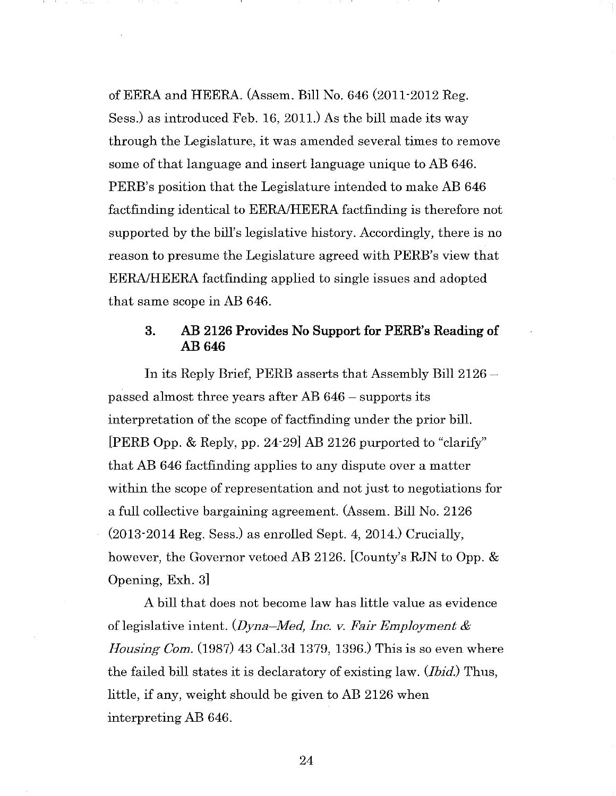ofEERA and HEERA. (Assem. Bill No. 646 (2011-2012 Reg. Sess.) as introduced Feb. 16, 2011.) As the bill made its way through the Legislature, it was amended several times to remove some of that language and insert language unique to AB 646. PERB's position that the Legislature intended to make AB 646 factfinding identical to EERA/HEERA factfinding is therefore not supported by the bill's legislative history. Accordingly, there is no reason to presume the Legislature agreed with PERB's view that EERA/HEERA factfinding applied to single issues and adopted that same scope in AB 646.

#### 3. AB 2126 Provides No Support for PERB's Reading of AB646

In its Reply Brief, PERB asserts that Assembly Bill 2126 passed almost three years after AB 646 - supports its interpretation of the scope of factfinding under the prior bill. [PERE Opp. & Reply, pp. 24-29] AB 2126 purported to "clarify" that AB 646 factfinding applies to any dispute over a matter within the scope of representation and not just to negotiations for a full collective bargaining agreement. (Assem. Bill No. 2126 (2013-2014 Reg. Sess.) as enrolled Sept. 4, 2014.) Crucially, however, the Governor vetoed AB 2126. [County's RJN to Opp. & Opening, Exh. 3]

A bill that does not become law has little value as evidence of legislative intent. *(Dyna-Med, Inc. v. Fair Employment* & *Housing Com.* (1987) 43 Cal.3d 1379, 1396.) This is so even where the failed bill states it is declaratory of existing law. *(Ibid.)* Thus, little, if any, weight should be given to AB 2126 when interpreting AB 646.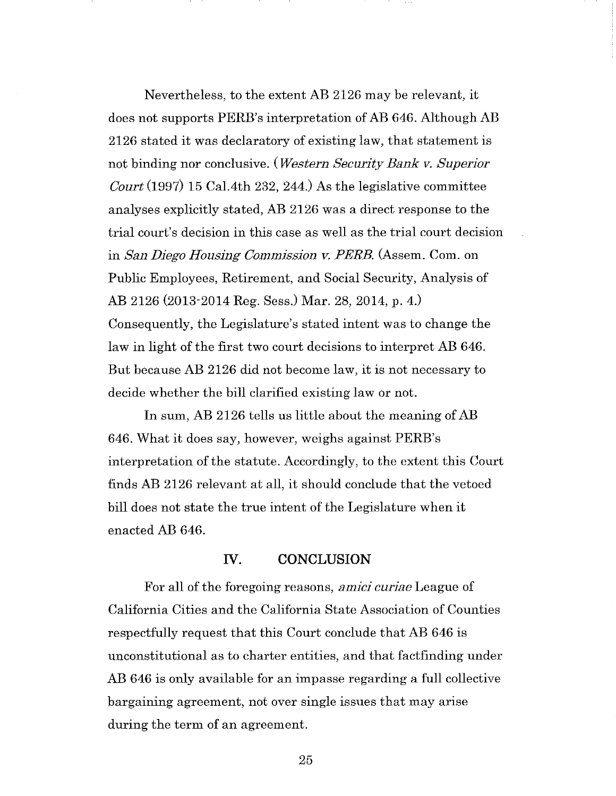Nevertheless, to the extent AB 2126 may be relevant, it does not supports PERB's interpretation of AB 646. Although AB 2126 stated it was declaratory of existing law, that statement is not binding nor conclusive. *(Western Security Bank v. Superior Court* (1997) 15 Cal.4th 232, 244.) As the legislative committee analyses explicitly stated, AB 2126 was a direct response to the trial court's decision in this case as well as the trial court decision in *San Diego Housing Commission v. PERE.* (Assem. Com. on Public Employees, Retirement, and Social Security, Analysis of AB 2126 (2013-2014 Reg. Sess.) Mar. 28, 2014, p. 4.) Consequently, the Legislature's stated intent was to change the law in light of the first two court decisions to interpret AB 646. But because AB 2126 did not become law, it is not necessary to decide whether the bill clarified existing law or not.

In sum, AB 2126 tells us little about the meaning of AB 646. What it does say, however, weighs against PERB's interpretation of the statute. Accordingly, to the extent this Court finds AB 2126 relevant at all, it should conclude that the vetoed bill does not state the true intent of the Legislature when it enacted AB 646.

#### **IV. CONCLUSION**

For all of the foregoing reasons, *amici curiae* League of California Cities and the California State Association of Counties respectfully request that this Court conclude that AB 646 is unconstitutional as to charter entities, and that factfinding under AB 646 is only available for an impasse regarding a full collective bargaining agreement, not over single issues that may arise during the term of an agreement.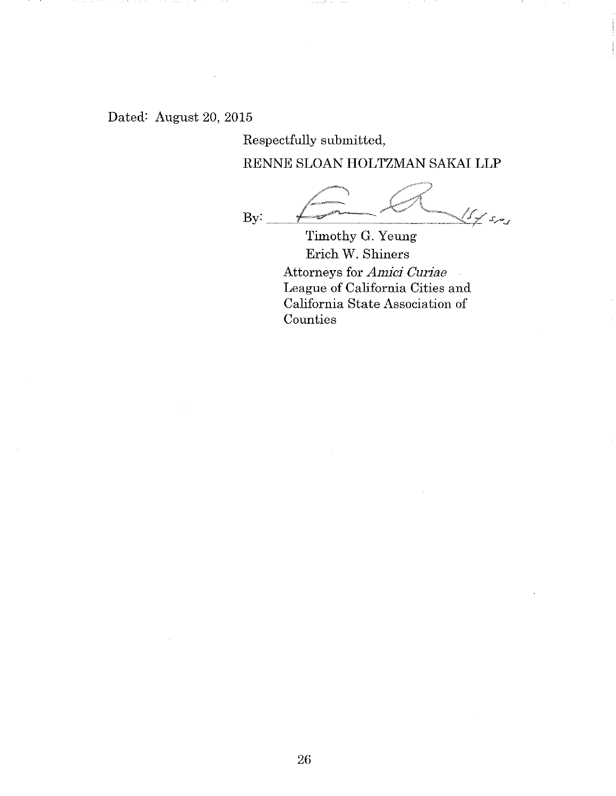Dated: August 20, 2015

Respectfully submitted,

RENNE SLOAN **HOLTZMAN** SAKAI **LLP** 

L:~ k:;(L By: ~~~~~~~~~~~~~'-r-1- ~\_, - ~~ f ?"" .1;.-<sup>J</sup>

Timothy G. Yeung Erich W. Shiners Attorneys for *Amici Curiae*  League of California Cities and California State Association of **Counties**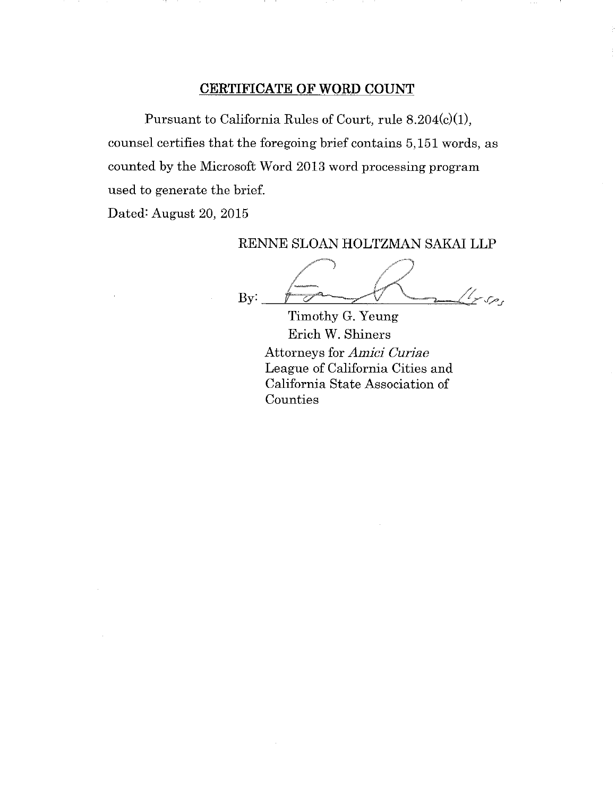#### **CERTIFICATE OF WORD COUNT**

Pursuant to California Rules of Court, rule 8.204(c)(l), counsel certifies that the foregoing brief contains 5, 151 words, as counted by the Microsoft Word 2013 word processing program used to generate the brief.

Dated: August 20, 2015

#### RENNE SLOAN HOLTZMAN SAKAI **LLP**

By: //~-, //""")  $\overline{1}$   $\overline{1}$   $\overline{1}$  $t_{r,s}$ 

Timothy G. Yeung Erich W. Shiners Attorneys for *Amici Curiae*  League of California Cities and California State Association of Counties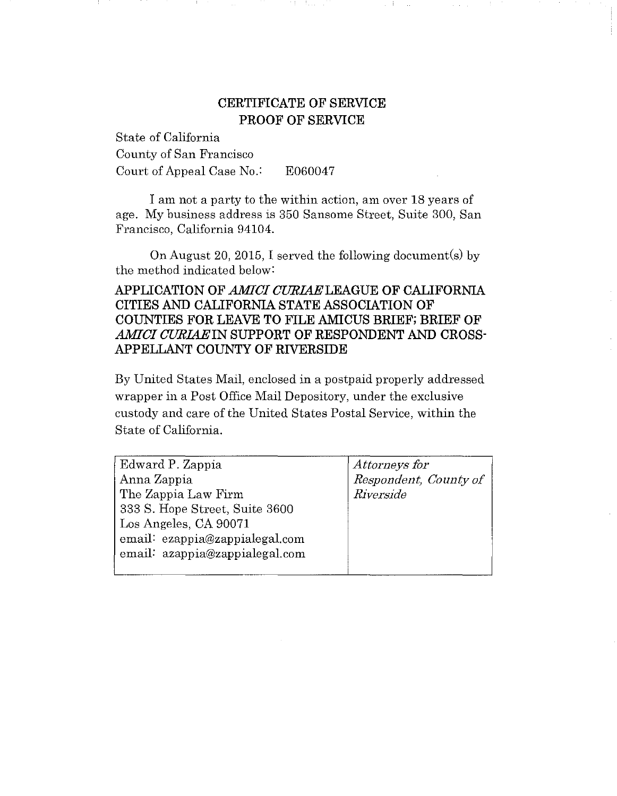## **CERTIFICATE OF SERVICE PROOF OF SERVICE**

State of California County of San Francisco Court of Appeal Case No.: E060047

I am not a party to the within action, am over 18 years of age. My business address is 350 Sansome Street, Suite 300, San Francisco, California 94104.

On August 20, 2015, I served the following document(s) by the method indicated below:

#### **APPLICATION OF** *AMICI* **CURL4ELEAGUE OF CALIFORNIA CITIES AND CALIFORNIA STATE ASSOCIATION OF COUNTIES FOR LEAVE TO FILE AMICUS BRIEF; BRIEF OF**  *AMICI CURL4EIN* **SUPPORT OF RESPONDENT AND CROSS-APPELLANT COUNTY OF RIVERSIDE**

By United States Mail, enclosed in a postpaid properly addressed wrapper in a Post Office Mail Depository, under the exclusive custody and care of the United States Postal Service, within the State of California.

| Edward P. Zappia               | Attorneys for         |
|--------------------------------|-----------------------|
| Anna Zappia                    | Respondent, County of |
| The Zappia Law Firm            | Riverside             |
| 333 S. Hope Street, Suite 3600 |                       |
| Los Angeles, CA 90071          |                       |
| email ezappia@zappialegal.com  |                       |
| email: azappia@zappialegal.com |                       |
|                                |                       |